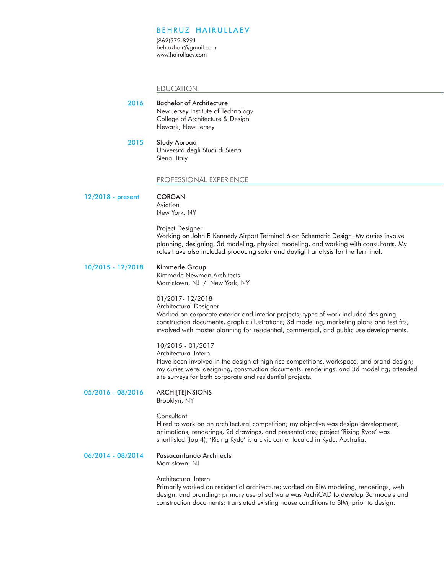## BEHRUZ HAIRULLAEV

(862)579-8291 behruzhair@gmail.com www.hairullaev.com

### EDUCATION

Bachelor of Architecture New Jersey Institute of Technology College of Architecture & Design Newark, New Jersey 2016

2015 Study Abroad Università degli Studi di Siena Siena, Italy

### PROFESSIONAL EXPERIENCE

12/2018 - present

CORGAN Aviation New York, NY

Project Designer

Working on John F. Kennedy Airport Terminal 6 on Schematic Design. My duties involve planning, designing, 3d modeling, physical modeling, and working with consultants. My roles have also included producing solar and daylight analysis for the Terminal.

#### Kimmerle Group 10/2015 - 12/2018

Kimmerle Newman Architects Morristown, NJ / New York, NY

# 01/2017- 12/2018

Architectural Designer Worked on corporate exterior and interior projects; types of work included designing, construction documents, graphic illustrations; 3d modeling, marketing plans and test fits; involved with master planning for residential, commercial, and public use developments.

### 10/2015 - 01/2017

Architectural Intern

Have been involved in the design of high rise competitions, workspace, and brand design; my duties were: designing, construction documents, renderings, and 3d modeling; attended site surveys for both corporate and residential projects.

### 05/2016 - 08/2016 **ARCHITTEINSIONS**

Brooklyn, NY

## **Consultant**

Hired to work on an architectural competition; my objective was design development, animations, renderings, 2d drawings, and presentations; project 'Rising Ryde' was shortlisted (top 4); 'Rising Ryde' is a civic center located in Ryde, Australia.

#### Passacantando Architects 06/2014 - 08/2014

Morristown, NJ

### Architectural Intern

Primarily worked on residential architecture; worked on BIM modeling, renderings, web design, and branding; primary use of software was ArchiCAD to develop 3d models and construction documents; translated existing house conditions to BIM, prior to design.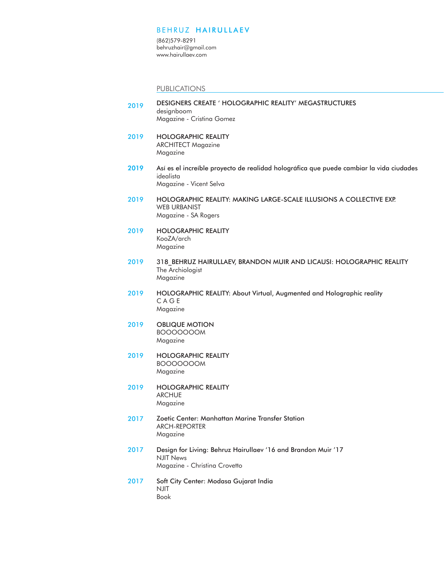## BEHRUZ HAIRULLAEV

(862)579-8291 behruzhair@gmail.com www.hairullaev.com

PUBLICATIONS

- 2019 DESIGNERS CREATE ' HOLOGRAPHIC REALITY' MEGASTRUCTURES designboom Magazine - Cristina Gomez
- 2019 HOLOGRAPHIC REALITY ARCHITECT Magazine Magazine
- 2019 Así es el increíble proyecto de realidad holográfica que puede cambiar la vida ciudades idealista Magazine - Vicent Selva
- 2019 HOLOGRAPHIC REALITY: MAKING LARGE-SCALE ILLUSIONS A COLLECTIVE EXP. WEB URBANIST Magazine - SA Rogers
- HOLOGRAPHIC REALITY KooZA/arch Magazine 2019
- 318\_BEHRUZ HAIRULLAEV, BRANDON MUIR AND LICAUSI: HOLOGRAPHIC REALITY The Archiologist Magazine 2019
- HOLOGRAPHIC REALITY: About Virtual, Augmented and Holographic reality C A G E Magazine 2019
- OBLIQUE MOTION BOOOOOOOM Magazine 2019
- HOLOGRAPHIC REALITY BOOOOOOOM Magazine 2019
- HOLOGRAPHIC REALITY ARCHUE Magazine 2019
- Zoetic Center: Manhattan Marine Transfer Station ARCH-REPORTER Magazine 2017
- Design for Living: Behruz Hairullaev '16 and Brandon Muir '17 NJIT News Magazine - Christina Crovetto 2017
- Soft City Center: Modasa Gujarat India NJIT Book 2017